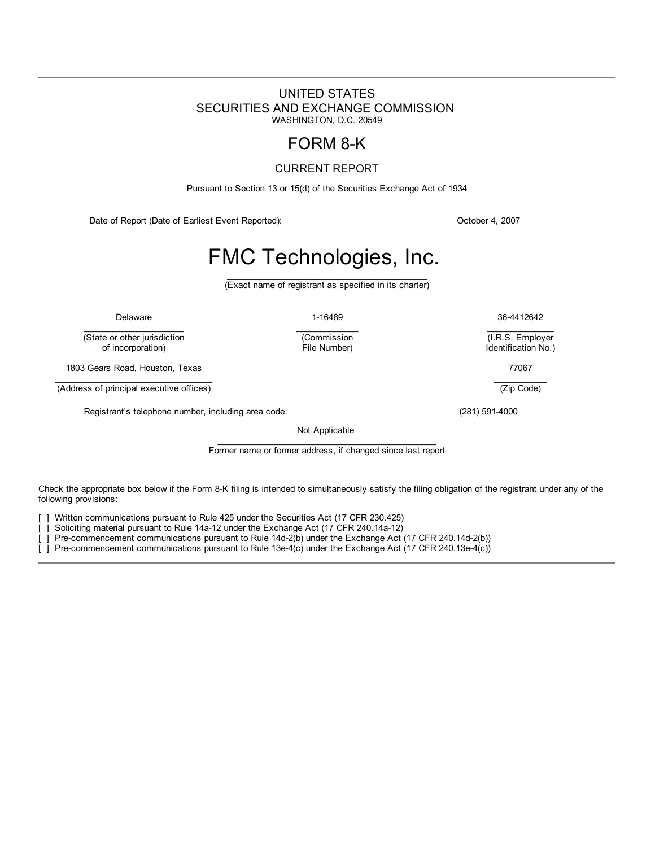# <span id="page-0-0"></span>UNITED STATES SECURITIES AND EXCHANGE COMMISSION WASHINGTON, D.C. 20549

# FORM 8-K

# CURRENT REPORT

Pursuant to Section 13 or 15(d) of the Securities Exchange Act of 1934

Date of Report (Date of Earliest Event Reported): Contract According to the Control of According Details and Details and Details and Details and Details and Details and Details and Details and Details and Details and Detai

# FMC Technologies, Inc.

 $\_$ (Exact name of registrant as specified in its charter)

 $\mathcal{L}_\text{max}$  and  $\mathcal{L}_\text{max}$ 

(Commission

 $\mathcal{L}_\text{max}$  and  $\mathcal{L}_\text{max}$  and  $\mathcal{L}_\text{max}$ (State or other jurisdiction<br>of incorporation)

1803 Gears Road, Houston, Texas 77067

 $\mathcal{L}_\text{max}$  and  $\mathcal{L}_\text{max}$  and  $\mathcal{L}_\text{max}$  and  $\mathcal{L}_\text{max}$ (Address of principal executive offices)

Registrant's telephone number, including area code: (281) 591-4000

Not Applicable

\_\_\_\_\_\_\_\_\_\_\_\_\_\_\_\_\_\_\_\_\_\_\_\_\_\_\_\_\_\_\_\_\_\_\_\_\_\_\_\_\_\_\_\_\_\_ Former name or former address, if changed since last report

Check the appropriate box below if the Form 8-K filing is intended to simultaneously satisfy the filing obligation of the registrant under any of the following provisions:

] Written communications pursuant to Rule 425 under the Securities Act (17 CFR 230.425)

[ ] Soliciting material pursuant to Rule 14a-12 under the Exchange Act (17 CFR 240.14a-12)

[ ] Pre-commencement communications pursuant to Rule 14d-2(b) under the Exchange Act (17 CFR 240.14d-2(b))

[ ] Pre-commencement communications pursuant to Rule 13e-4(c) under the Exchange Act (17 CFR 240.13e-4(c))

Delaware 1-16489 36-4412642  $\mathcal{L}_\text{max}$  and  $\mathcal{L}_\text{max}$ 

> (I.R.S. Employer Identification No.)

> > $\mathcal{L}_\text{max}$  and  $\mathcal{L}_\text{max}$

(Zip Code)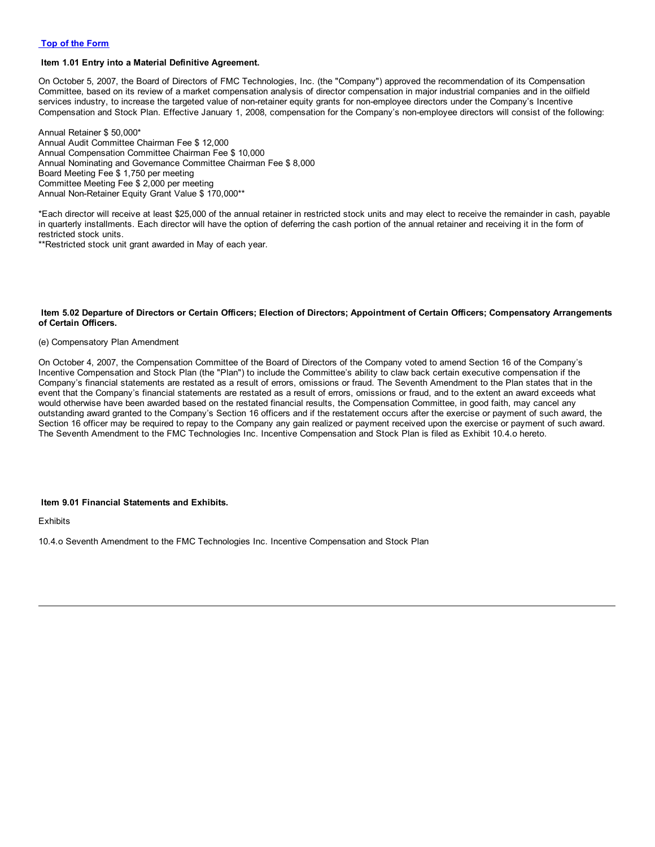#### **Item 1.01 Entry into a Material Definitive Agreement.**

On October 5, 2007, the Board of Directors of FMC Technologies, Inc. (the "Company") approved the recommendation of its Compensation Committee, based on its review of a market compensation analysis of director compensation in major industrial companies and in the oilfield services industry, to increase the targeted value of non-retainer equity grants for non-employee directors under the Company's Incentive Compensation and Stock Plan. Effective January 1, 2008, compensation for the Company's non-employee directors will consist of the following:

Annual Retainer \$ 50,000\* Annual Audit Committee Chairman Fee \$ 12,000 Annual Compensation Committee Chairman Fee \$ 10,000 Annual Nominating and Governance Committee Chairman Fee \$ 8,000 Board Meeting Fee \$ 1,750 per meeting Committee Meeting Fee \$ 2,000 per meeting Annual Non-Retainer Equity Grant Value \$ 170,000\*\*

\*Each director will receive at least \$25,000 of the annual retainer in restricted stock units and may elect to receive the remainder in cash, payable in quarterly installments. Each director will have the option of deferring the cash portion of the annual retainer and receiving it in the form of restricted stock units.

\*\*Restricted stock unit grant awarded in May of each year.

#### Item 5.02 Departure of Directors or Certain Officers; Election of Directors; Appointment of Certain Officers; Compensatory Arrangements **of Certain Officers.**

#### (e) Compensatory Plan Amendment

On October 4, 2007, the Compensation Committee of the Board of Directors of the Company voted to amend Section 16 of the Company's Incentive Compensation and Stock Plan (the "Plan") to include the Committee's ability to claw back certain executive compensation if the Company's financial statements are restated as a result of errors, omissions or fraud. The Seventh Amendment to the Plan states that in the event that the Company's financial statements are restated as a result of errors, omissions or fraud, and to the extent an award exceeds what would otherwise have been awarded based on the restated financial results, the Compensation Committee, in good faith, may cancel any outstanding award granted to the Company's Section 16 officers and if the restatement occurs after the exercise or payment of such award, the Section 16 officer may be required to repay to the Company any gain realized or payment received upon the exercise or payment of such award. The Seventh Amendment to the FMC Technologies Inc. Incentive Compensation and Stock Plan is filed as Exhibit 10.4.o hereto.

#### **Item 9.01 Financial Statements and Exhibits.**

**Exhibits** 

10.4.o Seventh Amendment to the FMC Technologies Inc. Incentive Compensation and Stock Plan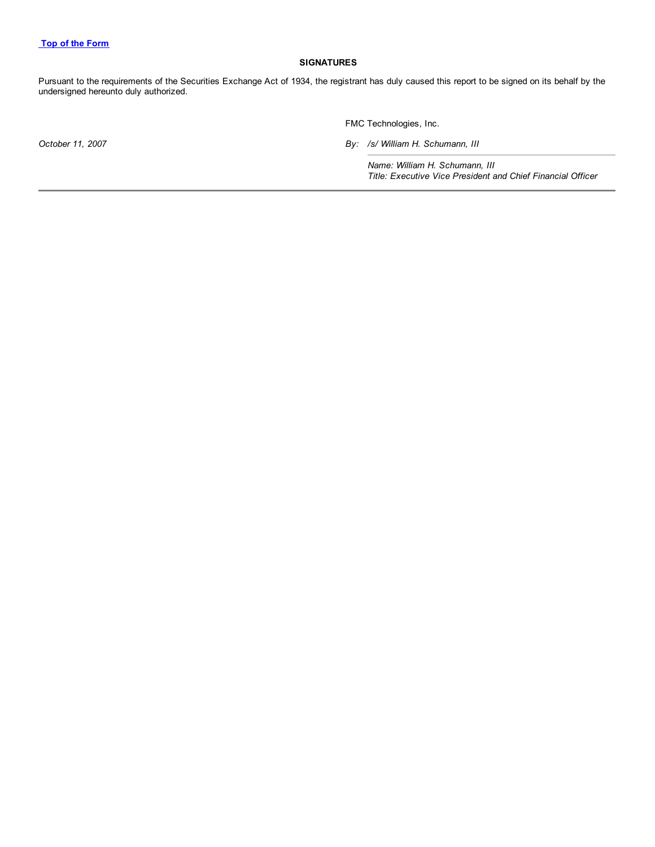### **SIGNATURES**

Pursuant to the requirements of the Securities Exchange Act of 1934, the registrant has duly caused this report to be signed on its behalf by the undersigned hereunto duly authorized.

FMC Technologies, Inc.

*October 11, 2007 By: /s/ William H. Schumann, III*

*Name: William H. Schumann, III Title: Executive Vice President and Chief Financial Officer*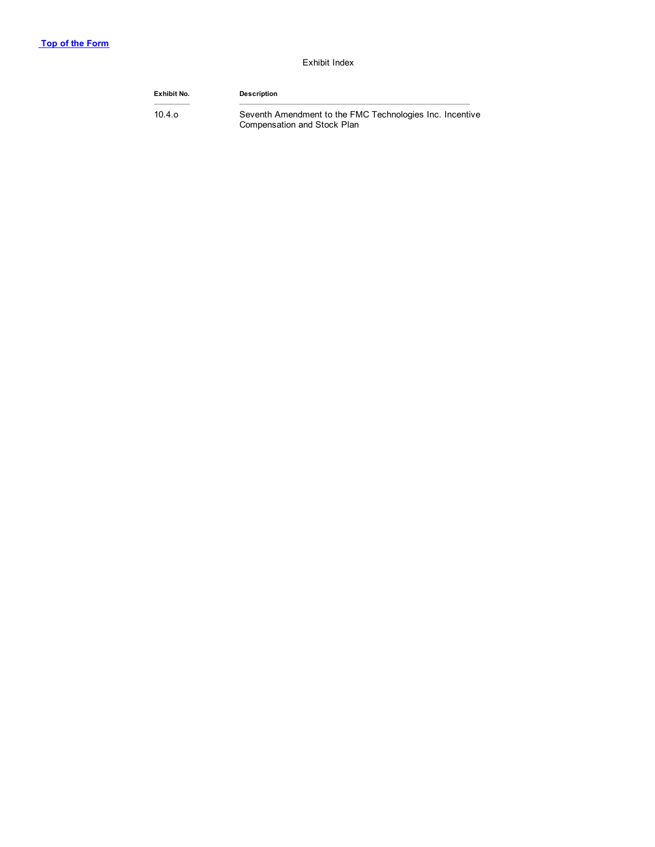## Exhibit Index

| Exhibit No. | <b>Description</b>                                                                      |
|-------------|-----------------------------------------------------------------------------------------|
| 10.4.o      | Seventh Amendment to the FMC Technologies Inc. Incentive<br>Compensation and Stock Plan |